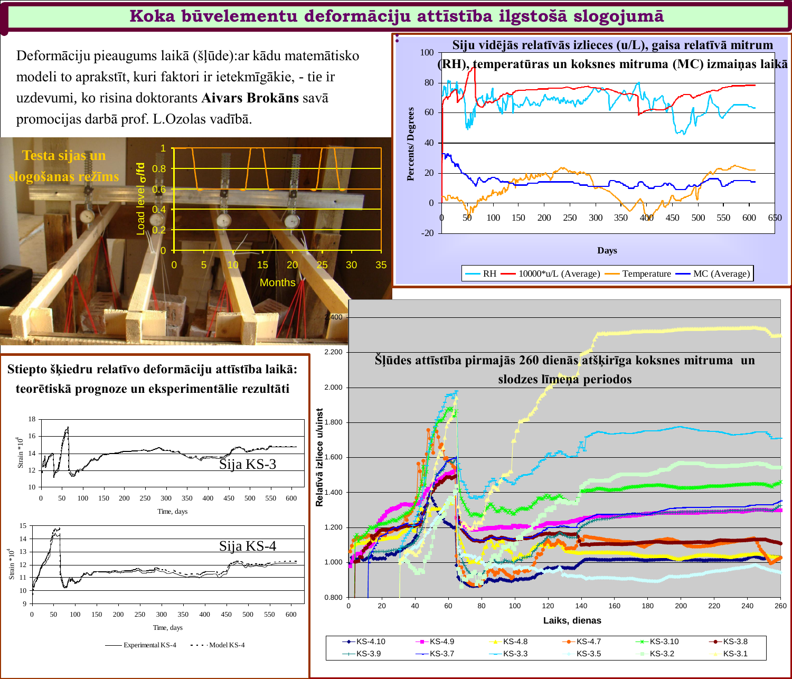Deformāciju pieaugums laikā (šļūde):ar kādu matemātisko modeli to aprakstīt, kuri faktori ir ietekmīgākie, - tie ir uzdevumi, ko risina doktorants **Aivars Brokāns** savā promocijas darbā prof. L.Ozolas vadībā.



**Stiepto šķiedru relatīvo deformāciju attīstība laikā: teorētiskā prognoze un eksperimentālie rezultāti**







## **Koka būvelementu deformāciju attīstība ilgstošā slogojumā**